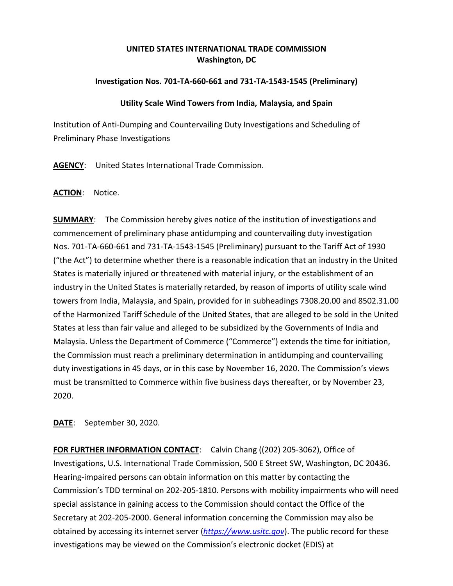# **UNITED STATES INTERNATIONAL TRADE COMMISSION Washington, DC**

## **Investigation Nos. 701-TA-660-661 and 731-TA-1543-1545 (Preliminary)**

#### **Utility Scale Wind Towers from India, Malaysia, and Spain**

Institution of Anti-Dumping and Countervailing Duty Investigations and Scheduling of Preliminary Phase Investigations

**AGENCY**: United States International Trade Commission.

### **ACTION**: Notice.

**SUMMARY:** The Commission hereby gives notice of the institution of investigations and commencement of preliminary phase antidumping and countervailing duty investigation Nos. 701-TA-660-661 and 731-TA-1543-1545 (Preliminary) pursuant to the Tariff Act of 1930 ("the Act") to determine whether there is a reasonable indication that an industry in the United States is materially injured or threatened with material injury, or the establishment of an industry in the United States is materially retarded, by reason of imports of utility scale wind towers from India, Malaysia, and Spain, provided for in subheadings 7308.20.00 and 8502.31.00 of the Harmonized Tariff Schedule of the United States, that are alleged to be sold in the United States at less than fair value and alleged to be subsidized by the Governments of India and Malaysia. Unless the Department of Commerce ("Commerce") extends the time for initiation, the Commission must reach a preliminary determination in antidumping and countervailing duty investigations in 45 days, or in this case by November 16, 2020. The Commission's views must be transmitted to Commerce within five business days thereafter, or by November 23, 2020.

**DATE**: September 30, 2020.

**FOR FURTHER INFORMATION CONTACT**: Calvin Chang ((202) 205-3062), Office of Investigations, U.S. International Trade Commission, 500 E Street SW, Washington, DC 20436. Hearing-impaired persons can obtain information on this matter by contacting the Commission's TDD terminal on 202-205-1810. Persons with mobility impairments who will need special assistance in gaining access to the Commission should contact the Office of the Secretary at 202-205-2000. General information concerning the Commission may also be obtained by accessing its internet server (*[https://www.usitc.gov](https://www.usitc.gov/)*). The public record for these investigations may be viewed on the Commission's electronic docket (EDIS) at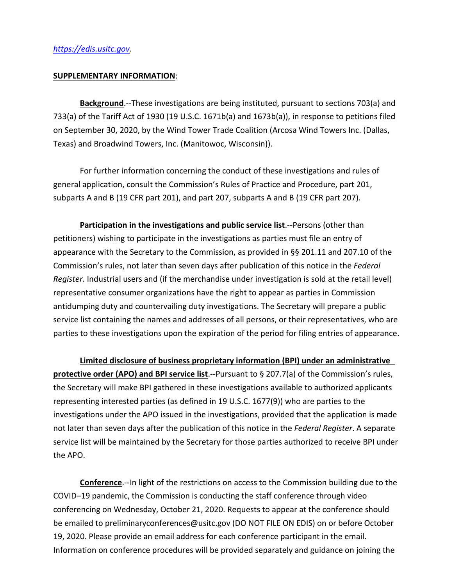#### **SUPPLEMENTARY INFORMATION**:

**Background**.--These investigations are being instituted, pursuant to sections 703(a) and 733(a) of the Tariff Act of 1930 (19 U.S.C. 1671b(a) and 1673b(a)), in response to petitions filed on September 30, 2020, by the Wind Tower Trade Coalition (Arcosa Wind Towers Inc. (Dallas, Texas) and Broadwind Towers, Inc. (Manitowoc, Wisconsin)).

For further information concerning the conduct of these investigations and rules of general application, consult the Commission's Rules of Practice and Procedure, part 201, subparts A and B (19 CFR part 201), and part 207, subparts A and B (19 CFR part 207).

**Participation in the investigations and public service list**.--Persons (other than petitioners) wishing to participate in the investigations as parties must file an entry of appearance with the Secretary to the Commission, as provided in §§ 201.11 and 207.10 of the Commission's rules, not later than seven days after publication of this notice in the *Federal Register*. Industrial users and (if the merchandise under investigation is sold at the retail level) representative consumer organizations have the right to appear as parties in Commission antidumping duty and countervailing duty investigations. The Secretary will prepare a public service list containing the names and addresses of all persons, or their representatives, who are parties to these investigations upon the expiration of the period for filing entries of appearance.

**Limited disclosure of business proprietary information (BPI) under an administrative protective order (APO) and BPI service list**.--Pursuant to § 207.7(a) of the Commission's rules, the Secretary will make BPI gathered in these investigations available to authorized applicants representing interested parties (as defined in 19 U.S.C. 1677(9)) who are parties to the investigations under the APO issued in the investigations, provided that the application is made not later than seven days after the publication of this notice in the *Federal Register*. A separate service list will be maintained by the Secretary for those parties authorized to receive BPI under the APO.

**Conference**.--In light of the restrictions on access to the Commission building due to the COVID–19 pandemic, the Commission is conducting the staff conference through video conferencing on Wednesday, October 21, 2020. Requests to appear at the conference should be emailed to preliminaryconferences@usitc.gov (DO NOT FILE ON EDIS) on or before October 19, 2020. Please provide an email address for each conference participant in the email. Information on conference procedures will be provided separately and guidance on joining the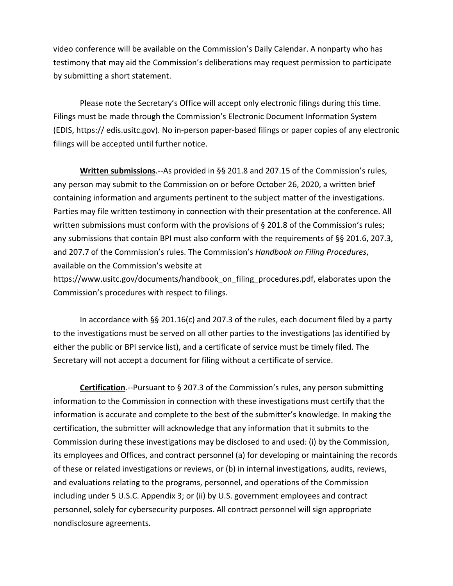video conference will be available on the Commission's Daily Calendar. A nonparty who has testimony that may aid the Commission's deliberations may request permission to participate by submitting a short statement.

Please note the Secretary's Office will accept only electronic filings during this time. Filings must be made through the Commission's Electronic Document Information System (EDIS, https:// edis.usitc.gov). No in-person paper-based filings or paper copies of any electronic filings will be accepted until further notice.

**Written submissions**.--As provided in §§ 201.8 and 207.15 of the Commission's rules, any person may submit to the Commission on or before October 26, 2020, a written brief containing information and arguments pertinent to the subject matter of the investigations. Parties may file written testimony in connection with their presentation at the conference. All written submissions must conform with the provisions of § 201.8 of the Commission's rules; any submissions that contain BPI must also conform with the requirements of §§ 201.6, 207.3, and 207.7 of the Commission's rules. The Commission's *Handbook on Filing Procedures*, available on the Commission's website at

https://www.usitc.gov/documents/handbook\_on\_filing\_procedures.pdf, elaborates upon the Commission's procedures with respect to filings.

In accordance with §§ 201.16(c) and 207.3 of the rules, each document filed by a party to the investigations must be served on all other parties to the investigations (as identified by either the public or BPI service list), and a certificate of service must be timely filed. The Secretary will not accept a document for filing without a certificate of service.

**Certification**.--Pursuant to § 207.3 of the Commission's rules, any person submitting information to the Commission in connection with these investigations must certify that the information is accurate and complete to the best of the submitter's knowledge. In making the certification, the submitter will acknowledge that any information that it submits to the Commission during these investigations may be disclosed to and used: (i) by the Commission, its employees and Offices, and contract personnel (a) for developing or maintaining the records of these or related investigations or reviews, or (b) in internal investigations, audits, reviews, and evaluations relating to the programs, personnel, and operations of the Commission including under 5 U.S.C. Appendix 3; or (ii) by U.S. government employees and contract personnel, solely for cybersecurity purposes. All contract personnel will sign appropriate nondisclosure agreements.